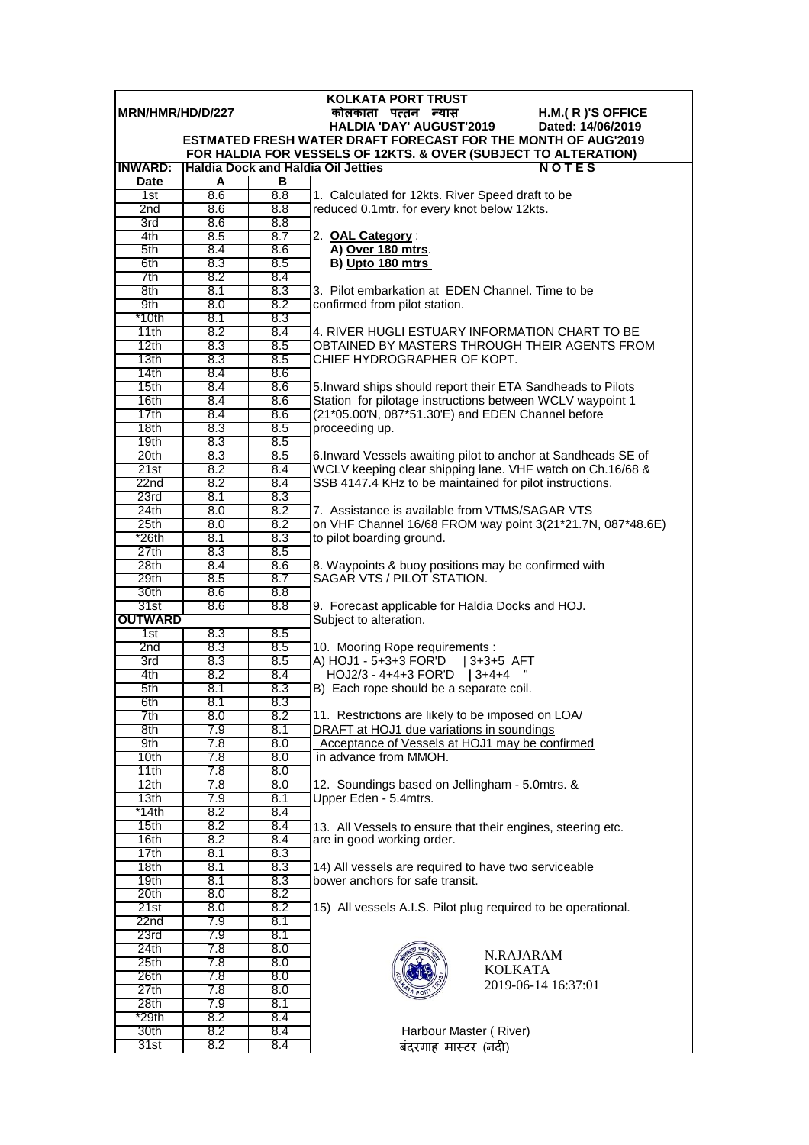| <b>KOLKATA PORT TRUST</b>                                     |            |            |                                                                                                                              |  |  |  |  |
|---------------------------------------------------------------|------------|------------|------------------------------------------------------------------------------------------------------------------------------|--|--|--|--|
| MRN/HMR/HD/D/227<br>कोलकाता पत्तन न्यास<br>$H.M.(R)'S$ OFFICE |            |            |                                                                                                                              |  |  |  |  |
|                                                               |            |            | <b>HALDIA 'DAY' AUGUST'2019</b><br>Dated: 14/06/2019<br><b>ESTMATED FRESH WATER DRAFT FORECAST FOR THE MONTH OF AUG'2019</b> |  |  |  |  |
|                                                               |            |            | FOR HALDIA FOR VESSELS OF 12KTS. & OVER (SUBJECT TO ALTERATION)                                                              |  |  |  |  |
| <b>INWARD:</b>                                                |            |            | <b>Haldia Dock and Haldia Oil Jetties</b><br><b>NOTES</b>                                                                    |  |  |  |  |
| Date                                                          | A          | в          |                                                                                                                              |  |  |  |  |
| 1st                                                           | 8.6        | 8.8        | 1. Calculated for 12kts. River Speed draft to be                                                                             |  |  |  |  |
| 2 <sub>nd</sub>                                               | 8.6        | 8.8        | reduced 0.1mtr. for every knot below 12kts.                                                                                  |  |  |  |  |
| 3rd                                                           | 8.6        | 8.8        |                                                                                                                              |  |  |  |  |
| 4th                                                           | 8.5        | 8.7        | 2. OAL Category:                                                                                                             |  |  |  |  |
| 5th                                                           | 8.4        | 8.6        | A) Over 180 mtrs.                                                                                                            |  |  |  |  |
| 6th<br>7th                                                    | 8.3<br>8.2 | 8.5<br>8.4 | B) Upto 180 mtrs                                                                                                             |  |  |  |  |
| 8th                                                           | 8.1        | 8.3        | 3. Pilot embarkation at EDEN Channel. Time to be                                                                             |  |  |  |  |
| 9th                                                           | 8.0        | 8.2        | confirmed from pilot station.                                                                                                |  |  |  |  |
| $*10th$                                                       | 8.1        | 8.3        |                                                                                                                              |  |  |  |  |
| 11th                                                          | 8.2        | 8.4        | 4. RIVER HUGLI ESTUARY INFORMATION CHART TO BE                                                                               |  |  |  |  |
| 12th                                                          | 8.3        | 8.5        | OBTAINED BY MASTERS THROUGH THEIR AGENTS FROM                                                                                |  |  |  |  |
| 13 <sub>th</sub>                                              | 8.3        | 8.5        | CHIEF HYDROGRAPHER OF KOPT.                                                                                                  |  |  |  |  |
| 14th                                                          | 8.4        | 8.6        |                                                                                                                              |  |  |  |  |
| 15th                                                          | 8.4        | 8.6        | 5. Inward ships should report their ETA Sandheads to Pilots                                                                  |  |  |  |  |
| 16th                                                          | 8.4        | 8.6        | Station for pilotage instructions between WCLV waypoint 1                                                                    |  |  |  |  |
| 17th<br>18 <sub>th</sub>                                      | 8.4<br>8.3 | 8.6<br>8.5 | (21*05.00'N, 087*51.30'E) and EDEN Channel before<br>proceeding up.                                                          |  |  |  |  |
| 19 <sub>th</sub>                                              | 8.3        | 8.5        |                                                                                                                              |  |  |  |  |
| 20th                                                          | 8.3        | 8.5        | 6. Inward Vessels awaiting pilot to anchor at Sandheads SE of                                                                |  |  |  |  |
| 21st                                                          | 8.2        | 8.4        | WCLV keeping clear shipping lane. VHF watch on Ch.16/68 &                                                                    |  |  |  |  |
| 22n <sub>d</sub>                                              | 8.2        | 8.4        | SSB 4147.4 KHz to be maintained for pilot instructions.                                                                      |  |  |  |  |
| 23rd                                                          | 8.1        | 8.3        |                                                                                                                              |  |  |  |  |
| 24th                                                          | 8.0        | 8.2        | 7. Assistance is available from VTMS/SAGAR VTS                                                                               |  |  |  |  |
| 25 <sub>th</sub>                                              | 8.0        | 8.2        | on VHF Channel 16/68 FROM way point 3(21*21.7N, 087*48.6E)                                                                   |  |  |  |  |
| *26th                                                         | 8.1        | 8.3        | to pilot boarding ground.                                                                                                    |  |  |  |  |
| 27th<br>28th                                                  | 8.3<br>8.4 | 8.5<br>8.6 | 8. Waypoints & buoy positions may be confirmed with                                                                          |  |  |  |  |
| 29th                                                          | 8.5        | 8.7        | SAGAR VTS / PILOT STATION.                                                                                                   |  |  |  |  |
| 30th                                                          | 8.6        | 8.8        |                                                                                                                              |  |  |  |  |
| 31st                                                          | 8.6        | 8.8        | 9. Forecast applicable for Haldia Docks and HOJ.                                                                             |  |  |  |  |
| <b>OUTWARD</b>                                                |            |            | Subject to alteration.                                                                                                       |  |  |  |  |
| 1st                                                           | 8.3        | 8.5        |                                                                                                                              |  |  |  |  |
| 2nd                                                           | 8.3        | 8.5        | 10. Mooring Rope requirements :                                                                                              |  |  |  |  |
| 3rd                                                           | 8.3        | 8.5        | A) HOJ1 - 5+3+3 FOR'D   3+3+5 AFT                                                                                            |  |  |  |  |
| 4th<br>5th                                                    | 8.2<br>8.1 | 8.4<br>8.3 | $HOJ2/3 - 4+4+3$ FOR'D   3+4+4<br>B) Each rope should be a separate coil.                                                    |  |  |  |  |
| 6th                                                           | 8.1        | 8.3        |                                                                                                                              |  |  |  |  |
| 7th                                                           | 8.0        | 8.2        | 11. Restrictions are likely to be imposed on LOA/                                                                            |  |  |  |  |
| 8th                                                           | 7.9        | 8.1        | DRAFT at HOJ1 due variations in soundings                                                                                    |  |  |  |  |
| 9th                                                           | 7.8        | 8.0        | Acceptance of Vessels at HOJ1 may be confirmed                                                                               |  |  |  |  |
| 10th                                                          | 7.8        | 8.0        | in advance from MMOH.                                                                                                        |  |  |  |  |
| 11th                                                          | 7.8        | 8.0        |                                                                                                                              |  |  |  |  |
| 12th                                                          | 7.8        | 8.0        | 12. Soundings based on Jellingham - 5.0mtrs. &                                                                               |  |  |  |  |
| 13 <sub>th</sub>                                              | 7.9        | 8.1        | Upper Eden - 5.4mtrs.                                                                                                        |  |  |  |  |
| *14th<br>15 <sub>th</sub>                                     | 8.2<br>8.2 | 8.4<br>8.4 |                                                                                                                              |  |  |  |  |
| 16th                                                          | 8.2        | 8.4        | 13. All Vessels to ensure that their engines, steering etc.<br>are in good working order.                                    |  |  |  |  |
| 17th                                                          | 8.1        | 8.3        |                                                                                                                              |  |  |  |  |
| 18th                                                          | 8.1        | 8.3        | 14) All vessels are required to have two serviceable                                                                         |  |  |  |  |
| 19th                                                          | 8.1        | 8.3        | bower anchors for safe transit.                                                                                              |  |  |  |  |
| 20th                                                          | 8.0        | 8.2        |                                                                                                                              |  |  |  |  |
| 21st                                                          | 8.0        | 8.2        | 15) All vessels A.I.S. Pilot plug required to be operational.                                                                |  |  |  |  |
| 22 <sub>nd</sub>                                              | 7.9        | 8.1        |                                                                                                                              |  |  |  |  |
| 23rd                                                          | 7.9        | 8.1        |                                                                                                                              |  |  |  |  |
| 24th<br>25 <sub>th</sub>                                      | 7.8        | 8.0<br>8.0 | N.RAJARAM                                                                                                                    |  |  |  |  |
| 26th                                                          | 7.8<br>7.8 | 8.0        | <b>KOLKATA</b>                                                                                                               |  |  |  |  |
| 27th                                                          | 7.8        | 8.0        | 2019-06-14 16:37:01                                                                                                          |  |  |  |  |
| 28th                                                          | 7.9        | 8.1        |                                                                                                                              |  |  |  |  |
| *29th                                                         | 8.2        | 8.4        |                                                                                                                              |  |  |  |  |
| 30th                                                          | 8.2        | 8.4        | Harbour Master (River)                                                                                                       |  |  |  |  |
| 31st                                                          | 8.2        | 8.4        | <u>बंदरगाह मास्टर (नदी)</u>                                                                                                  |  |  |  |  |